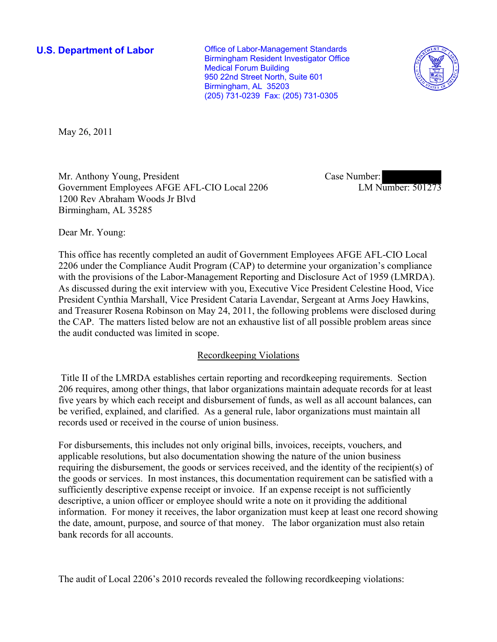**U.S. Department of Labor Conservative Conservative Conservative Conservative Conservative Conservative Conservative Conservative Conservative Conservative Conservative Conservative Conservative Conservative Conservative** Birmingham Resident Investigator Office Medical Forum Building 950 22nd Street North, Suite 601 Birmingham, AL 35203 (205) 731-0239 Fax: (205) 731-0305



May 26, 2011

Mr. Anthony Young, President Government Employees AFGE AFL-CIO Local 2206 1200 Rev Abraham Woods Jr Blvd Birmingham, AL 35285

Case Number: LM Number: 501273

Dear Mr. Young:

This office has recently completed an audit of Government Employees AFGE AFL-CIO Local 2206 under the Compliance Audit Program (CAP) to determine your organization's compliance with the provisions of the Labor-Management Reporting and Disclosure Act of 1959 (LMRDA). As discussed during the exit interview with you, Executive Vice President Celestine Hood, Vice President Cynthia Marshall, Vice President Cataria Lavendar, Sergeant at Arms Joey Hawkins, and Treasurer Rosena Robinson on May 24, 2011, the following problems were disclosed during the CAP. The matters listed below are not an exhaustive list of all possible problem areas since the audit conducted was limited in scope.

# Recordkeeping Violations

 Title II of the LMRDA establishes certain reporting and recordkeeping requirements. Section 206 requires, among other things, that labor organizations maintain adequate records for at least five years by which each receipt and disbursement of funds, as well as all account balances, can be verified, explained, and clarified. As a general rule, labor organizations must maintain all records used or received in the course of union business.

For disbursements, this includes not only original bills, invoices, receipts, vouchers, and applicable resolutions, but also documentation showing the nature of the union business requiring the disbursement, the goods or services received, and the identity of the recipient(s) of the goods or services. In most instances, this documentation requirement can be satisfied with a sufficiently descriptive expense receipt or invoice. If an expense receipt is not sufficiently descriptive, a union officer or employee should write a note on it providing the additional information. For money it receives, the labor organization must keep at least one record showing the date, amount, purpose, and source of that money. The labor organization must also retain bank records for all accounts.

The audit of Local 2206's 2010 records revealed the following recordkeeping violations: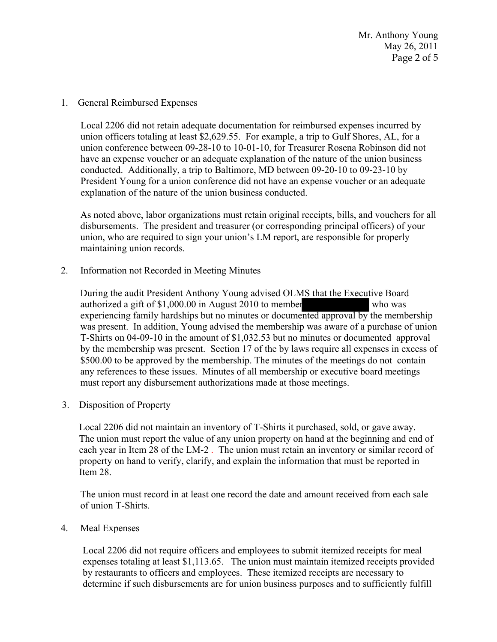Mr. Anthony Young May 26, 2011 Page 2 of 5

1. General Reimbursed Expenses

Local 2206 did not retain adequate documentation for reimbursed expenses incurred by union officers totaling at least \$2,629.55. For example, a trip to Gulf Shores, AL, for a union conference between 09-28-10 to 10-01-10, for Treasurer Rosena Robinson did not have an expense voucher or an adequate explanation of the nature of the union business conducted. Additionally, a trip to Baltimore, MD between 09-20-10 to 09-23-10 by President Young for a union conference did not have an expense voucher or an adequate explanation of the nature of the union business conducted.

As noted above, labor organizations must retain original receipts, bills, and vouchers for all disbursements. The president and treasurer (or corresponding principal officers) of your union, who are required to sign your union's LM report, are responsible for properly maintaining union records.

2. Information not Recorded in Meeting Minutes

 During the audit President Anthony Young advised OLMS that the Executive Board authorized a gift of \$1,000.00 in August 2010 to member who was experiencing family hardships but no minutes or documented approval by the membership was present. In addition, Young advised the membership was aware of a purchase of union T-Shirts on 04-09-10 in the amount of \$1,032.53 but no minutes or documented approval by the membership was present. Section 17 of the by laws require all expenses in excess of \$500.00 to be approved by the membership. The minutes of the meetings do not contain any references to these issues. Minutes of all membership or executive board meetings must report any disbursement authorizations made at those meetings.

3. Disposition of Property

 Local 2206 did not maintain an inventory of T-Shirts it purchased, sold, or gave away. The union must report the value of any union property on hand at the beginning and end of each year in Item 28 of the LM-2 . The union must retain an inventory or similar record of property on hand to verify, clarify, and explain the information that must be reported in Item 28.

The union must record in at least one record the date and amount received from each sale of union T-Shirts.

4. Meal Expenses

 Local 2206 did not require officers and employees to submit itemized receipts for meal expenses totaling at least \$1,113.65. The union must maintain itemized receipts provided by restaurants to officers and employees. These itemized receipts are necessary to determine if such disbursements are for union business purposes and to sufficiently fulfill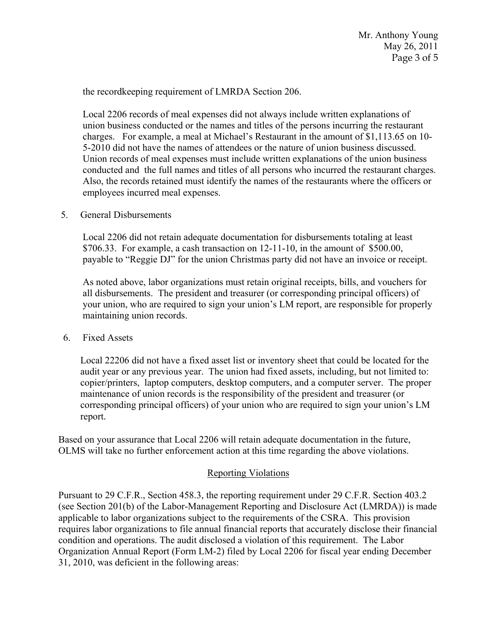the recordkeeping requirement of LMRDA Section 206.

 Local 2206 records of meal expenses did not always include written explanations of union business conducted or the names and titles of the persons incurring the restaurant charges. For example, a meal at Michael's Restaurant in the amount of \$1,113.65 on 10- 5-2010 did not have the names of attendees or the nature of union business discussed. Union records of meal expenses must include written explanations of the union business conducted and the full names and titles of all persons who incurred the restaurant charges. Also, the records retained must identify the names of the restaurants where the officers or employees incurred meal expenses.

5. General Disbursements

 Local 2206 did not retain adequate documentation for disbursements totaling at least  $$706.33.$  For example, a cash transaction on  $12-11-10$ , in the amount of  $$500.00$ , payable to "Reggie DJ" for the union Christmas party did not have an invoice or receipt.

 As noted above, labor organizations must retain original receipts, bills, and vouchers for all disbursements. The president and treasurer (or corresponding principal officers) of your union, who are required to sign your union's LM report, are responsible for properly maintaining union records.

6. Fixed Assets

 Local 22206 did not have a fixed asset list or inventory sheet that could be located for the audit year or any previous year. The union had fixed assets, including, but not limited to: copier/printers, laptop computers, desktop computers, and a computer server. The proper maintenance of union records is the responsibility of the president and treasurer (or corresponding principal officers) of your union who are required to sign your union's LM report.

Based on your assurance that Local 2206 will retain adequate documentation in the future, OLMS will take no further enforcement action at this time regarding the above violations.

# Reporting Violations

Pursuant to 29 C.F.R., Section 458.3, the reporting requirement under 29 C.F.R. Section 403.2 (see Section 201(b) of the Labor-Management Reporting and Disclosure Act (LMRDA)) is made applicable to labor organizations subject to the requirements of the CSRA. This provision requires labor organizations to file annual financial reports that accurately disclose their financial condition and operations. The audit disclosed a violation of this requirement. The Labor Organization Annual Report (Form LM-2) filed by Local 2206 for fiscal year ending December 31, 2010, was deficient in the following areas: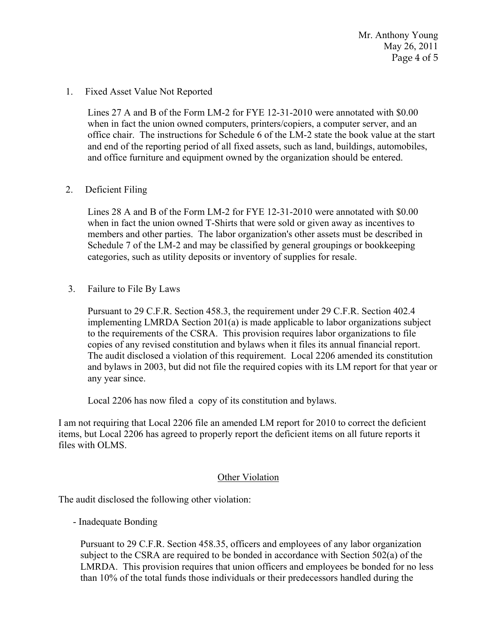Mr. Anthony Young May 26, 2011 Page 4 of 5

### 1. Fixed Asset Value Not Reported

Lines 27 A and B of the Form LM-2 for FYE 12-31-2010 were annotated with \$0.00 when in fact the union owned computers, printers/copiers, a computer server, and an office chair. The instructions for Schedule 6 of the LM-2 state the book value at the start and end of the reporting period of all fixed assets, such as land, buildings, automobiles, and office furniture and equipment owned by the organization should be entered.

## 2. Deficient Filing

Lines 28 A and B of the Form LM-2 for FYE 12-31-2010 were annotated with \$0.00 when in fact the union owned T-Shirts that were sold or given away as incentives to members and other parties. The labor organization's other assets must be described in Schedule 7 of the LM-2 and may be classified by general groupings or bookkeeping categories, such as utility deposits or inventory of supplies for resale.

3. Failure to File By Laws

 Pursuant to 29 C.F.R. Section 458.3, the requirement under 29 C.F.R. Section 402.4 implementing LMRDA Section 201(a) is made applicable to labor organizations subject to the requirements of the CSRA. This provision requires labor organizations to file copies of any revised constitution and bylaws when it files its annual financial report. The audit disclosed a violation of this requirement. Local 2206 amended its constitution and bylaws in 2003, but did not file the required copies with its LM report for that year or any year since.

Local 2206 has now filed a copy of its constitution and bylaws.

I am not requiring that Local 2206 file an amended LM report for 2010 to correct the deficient items, but Local 2206 has agreed to properly report the deficient items on all future reports it files with OLMS.

## **Other Violation**

The audit disclosed the following other violation:

- Inadequate Bonding

Pursuant to 29 C.F.R. Section 458.35, officers and employees of any labor organization subject to the CSRA are required to be bonded in accordance with Section 502(a) of the LMRDA. This provision requires that union officers and employees be bonded for no less than 10% of the total funds those individuals or their predecessors handled during the